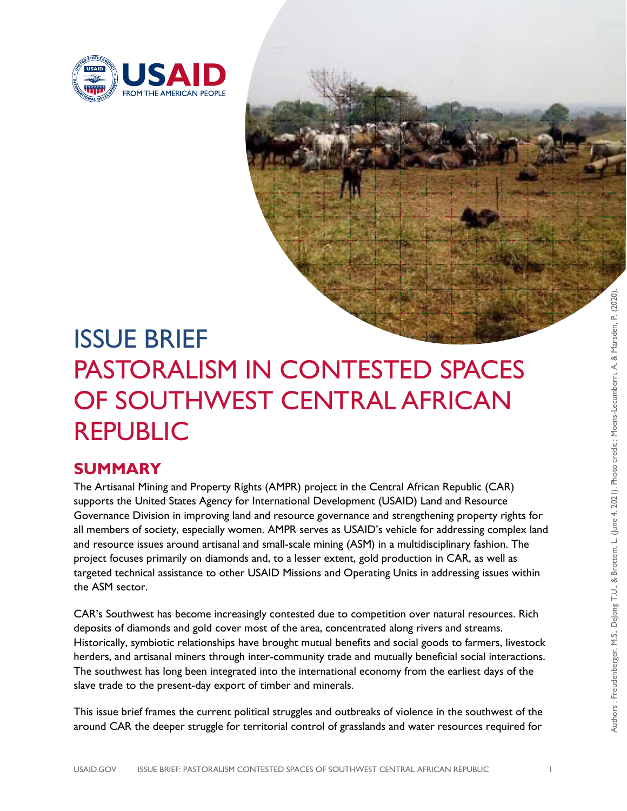

# ISSUE BRIEF PASTORALISM IN CONTESTED SPACES OF SOUTHWEST CENTRAL AFRICAN REPUBLIC

# **SUMMARY**

The Artisanal Mining and Property Rights (AMPR) project in the Central African Republic (CAR) supports the United States Agency for International Development (USAID) Land and Resource Governance Division in improving land and resource governance and strengthening property rights for all members of society, especially women. AMPR serves as USAID's vehicle for addressing complex land and resource issues around artisanal and small-scale mining (ASM) in a multidisciplinary fashion. The project focuses primarily on diamonds and, to a lesser extent, gold production in CAR, as well as targeted technical assistance to other USAID Missions and Operating Units in addressing issues within the ASM sector.

CAR's Southwest has become increasingly contested due to competition over natural resources. Rich deposits of diamonds and gold cover most of the area, concentrated along rivers and streams. Historically, symbiotic relationships have brought mutual benefits and social goods to farmers, livestock herders, and artisanal miners through inter-community trade and mutually beneficial social interactions. The southwest has long been integrated into the international economy from the earliest days of the slave trade to the present-day export of timber and minerals.

This issue brief frames the current political struggles and outbreaks of violence in the southwest of the around CAR the deeper struggle for territorial control of grasslands and water resources required for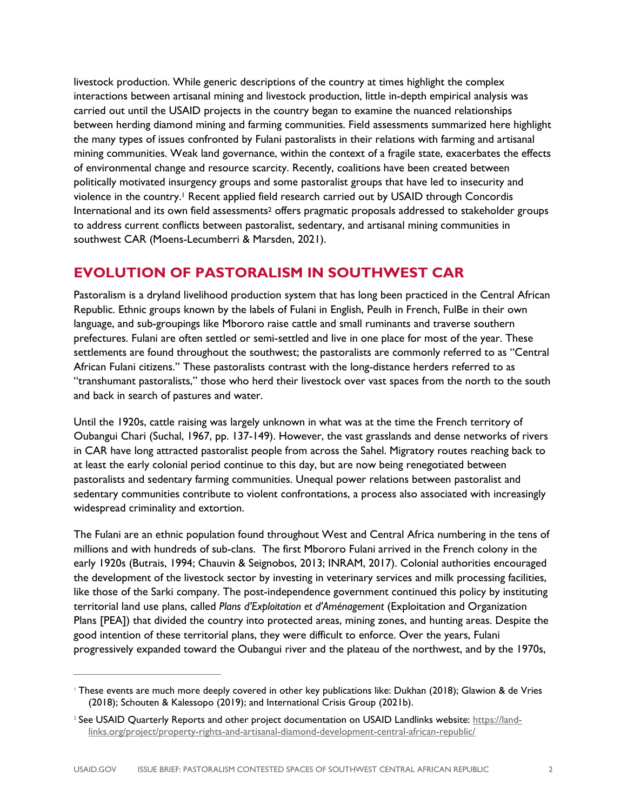livestock production. While generic descriptions of the country at times highlight the complex interactions between artisanal mining and livestock production, little in-depth empirical analysis was carried out until the USAID projects in the country began to examine the nuanced relationships between herding diamond mining and farming communities. Field assessments summarized here highlight the many types of issues confronted by Fulani pastoralists in their relations with farming and artisanal mining communities. Weak land governance, within the context of a fragile state, exacerbates the effects of environmental change and resource scarcity. Recently, coalitions have been created between politically motivated insurgency groups and some pastoralist groups that have led to insecurity and violence in the country.<sup>1</sup> Recent applied field research carried out by USAID through Concordis International and its own field assessments2 offers pragmatic proposals addressed to stakeholder groups to address current conflicts between pastoralist, sedentary, and artisanal mining communities in southwest CAR (Moens-Lecumberri & Marsden, 2021).

# **EVOLUTION OF PASTORALISM IN SOUTHWEST CAR**

Pastoralism is a dryland livelihood production system that has long been practiced in the Central African Republic. Ethnic groups known by the labels of Fulani in English, Peulh in French, FulBe in their own language, and sub-groupings like Mbororo raise cattle and small ruminants and traverse southern prefectures. Fulani are often settled or semi-settled and live in one place for most of the year. These settlements are found throughout the southwest; the pastoralists are commonly referred to as "Central African Fulani citizens." These pastoralists contrast with the long-distance herders referred to as "transhumant pastoralists," those who herd their livestock over vast spaces from the north to the south and back in search of pastures and water.

Until the 1920s, cattle raising was largely unknown in what was at the time the French territory of Oubangui Chari (Suchal, 1967, pp. 137-149). However, the vast grasslands and dense networks of rivers in CAR have long attracted pastoralist people from across the Sahel. Migratory routes reaching back to at least the early colonial period continue to this day, but are now being renegotiated between pastoralists and sedentary farming communities. Unequal power relations between pastoralist and sedentary communities contribute to violent confrontations, a process also associated with increasingly widespread criminality and extortion.

The Fulani are an ethnic population found throughout West and Central Africa numbering in the tens of millions and with hundreds of sub-clans. The first Mbororo Fulani arrived in the French colony in the early 1920s (Butrais, 1994; Chauvin & Seignobos, 2013; INRAM, 2017). Colonial authorities encouraged the development of the livestock sector by investing in veterinary services and milk processing facilities, like those of the Sarki company. The post-independence government continued this policy by instituting territorial land use plans, called *Plans d'Exploitation et d'Aménagement* (Exploitation and Organization Plans [PEA]) that divided the country into protected areas, mining zones, and hunting areas. Despite the good intention of these territorial plans, they were difficult to enforce. Over the years, Fulani progressively expanded toward the Oubangui river and the plateau of the northwest, and by the 1970s,

<sup>&</sup>lt;sup>1</sup> These events are much more deeply covered in other key publications like: Dukhan (2018); Glawion & de Vries (2018); Schouten & Kalessopo (2019); and International Crisis Group (2021b).

<sup>&</sup>lt;sup>2</sup> See USAID Quarterly Reports and other project documentation on USAID Landlinks website: [https://land](https://land-links.org/project/property-rights-and-artisanal-diamond-development-central-african-republic/)[links.org/project/property-rights-and-artisanal-diamond-development-central-african-republic/](https://land-links.org/project/property-rights-and-artisanal-diamond-development-central-african-republic/)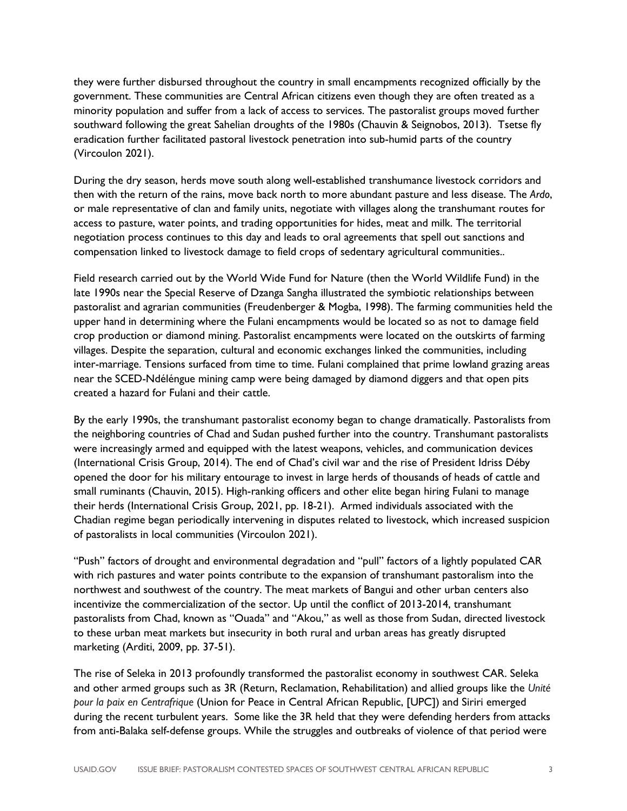they were further disbursed throughout the country in small encampments recognized officially by the government. These communities are Central African citizens even though they are often treated as a minority population and suffer from a lack of access to services. The pastoralist groups moved further southward following the great Sahelian droughts of the 1980s (Chauvin & Seignobos, 2013). Tsetse fly eradication further facilitated pastoral livestock penetration into sub-humid parts of the country (Vircoulon 2021).

During the dry season, herds move south along well-established transhumance livestock corridors and then with the return of the rains, move back north to more abundant pasture and less disease. The *Ardo*, or male representative of clan and family units, negotiate with villages along the transhumant routes for access to pasture, water points, and trading opportunities for hides, meat and milk. The territorial negotiation process continues to this day and leads to oral agreements that spell out sanctions and compensation linked to livestock damage to field crops of sedentary agricultural communities..

Field research carried out by the World Wide Fund for Nature (then the World Wildlife Fund) in the late 1990s near the Special Reserve of Dzanga Sangha illustrated the symbiotic relationships between pastoralist and agrarian communities (Freudenberger & Mogba, 1998). The farming communities held the upper hand in determining where the Fulani encampments would be located so as not to damage field crop production or diamond mining. Pastoralist encampments were located on the outskirts of farming villages. Despite the separation, cultural and economic exchanges linked the communities, including inter-marriage. Tensions surfaced from time to time. Fulani complained that prime lowland grazing areas near the SCED-Ndéléngue mining camp were being damaged by diamond diggers and that open pits created a hazard for Fulani and their cattle.

By the early 1990s, the transhumant pastoralist economy began to change dramatically. Pastoralists from the neighboring countries of Chad and Sudan pushed further into the country. Transhumant pastoralists were increasingly armed and equipped with the latest weapons, vehicles, and communication devices (International Crisis Group, 2014). The end of Chad's civil war and the rise of President Idriss Déby opened the door for his military entourage to invest in large herds of thousands of heads of cattle and small ruminants (Chauvin, 2015). High-ranking officers and other elite began hiring Fulani to manage their herds (International Crisis Group, 2021, pp. 18-21). Armed individuals associated with the Chadian regime began periodically intervening in disputes related to livestock, which increased suspicion of pastoralists in local communities (Vircoulon 2021).

"Push" factors of drought and environmental degradation and "pull" factors of a lightly populated CAR with rich pastures and water points contribute to the expansion of transhumant pastoralism into the northwest and southwest of the country. The meat markets of Bangui and other urban centers also incentivize the commercialization of the sector. Up until the conflict of 2013-2014, transhumant pastoralists from Chad, known as "Ouada" and "Akou," as well as those from Sudan, directed livestock to these urban meat markets but insecurity in both rural and urban areas has greatly disrupted marketing (Arditi, 2009, pp. 37-51).

The rise of Seleka in 2013 profoundly transformed the pastoralist economy in southwest CAR. Seleka and other armed groups such as 3R (Return, Reclamation, Rehabilitation) and allied groups like the *Unité pour la paix en Centrafrique* (Union for Peace in Central African Republic, [UPC]) and Siriri emerged during the recent turbulent years. Some like the 3R held that they were defending herders from attacks from anti-Balaka self-defense groups. While the struggles and outbreaks of violence of that period were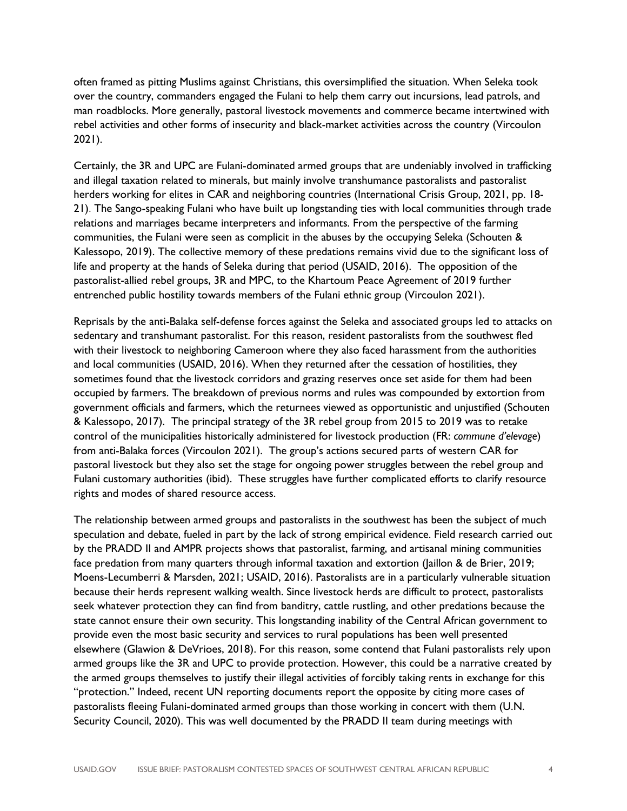often framed as pitting Muslims against Christians, this oversimplified the situation. When Seleka took over the country, commanders engaged the Fulani to help them carry out incursions, lead patrols, and man roadblocks. More generally, pastoral livestock movements and commerce became intertwined with rebel activities and other forms of insecurity and black-market activities across the country (Vircoulon 2021).

Certainly, the 3R and UPC are Fulani-dominated armed groups that are undeniably involved in trafficking and illegal taxation related to minerals, but mainly involve transhumance pastoralists and pastoralist herders working for elites in CAR and neighboring countries (International Crisis Group, 2021, pp. 18-21). The Sango-speaking Fulani who have built up longstanding ties with local communities through trade relations and marriages became interpreters and informants. From the perspective of the farming communities, the Fulani were seen as complicit in the abuses by the occupying Seleka (Schouten & Kalessopo, 2019). The collective memory of these predations remains vivid due to the significant loss of life and property at the hands of Seleka during that period (USAID, 2016). The opposition of the pastoralist-allied rebel groups, 3R and MPC, to the Khartoum Peace Agreement of 2019 further entrenched public hostility towards members of the Fulani ethnic group (Vircoulon 2021).

Reprisals by the anti-Balaka self-defense forces against the Seleka and associated groups led to attacks on sedentary and transhumant pastoralist. For this reason, resident pastoralists from the southwest fled with their livestock to neighboring Cameroon where they also faced harassment from the authorities and local communities (USAID, 2016). When they returned after the cessation of hostilities, they sometimes found that the livestock corridors and grazing reserves once set aside for them had been occupied by farmers. The breakdown of previous norms and rules was compounded by extortion from government officials and farmers, which the returnees viewed as opportunistic and unjustified (Schouten & Kalessopo, 2017). The principal strategy of the 3R rebel group from 2015 to 2019 was to retake control of the municipalities historically administered for livestock production (FR: *commune d'elevage*) from anti-Balaka forces (Vircoulon 2021). The group's actions secured parts of western CAR for pastoral livestock but they also set the stage for ongoing power struggles between the rebel group and Fulani customary authorities (ibid). These struggles have further complicated efforts to clarify resource rights and modes of shared resource access.

The relationship between armed groups and pastoralists in the southwest has been the subject of much speculation and debate, fueled in part by the lack of strong empirical evidence. Field research carried out by the PRADD II and AMPR projects shows that pastoralist, farming, and artisanal mining communities face predation from many quarters through informal taxation and extortion (Jaillon & de Brier, 2019; Moens-Lecumberri & Marsden, 2021; USAID, 2016). Pastoralists are in a particularly vulnerable situation because their herds represent walking wealth. Since livestock herds are difficult to protect, pastoralists seek whatever protection they can find from banditry, cattle rustling, and other predations because the state cannot ensure their own security. This longstanding inability of the Central African government to provide even the most basic security and services to rural populations has been well presented elsewhere (Glawion & DeVrioes, 2018). For this reason, some contend that Fulani pastoralists rely upon armed groups like the 3R and UPC to provide protection. However, this could be a narrative created by the armed groups themselves to justify their illegal activities of forcibly taking rents in exchange for this "protection." Indeed, recent UN reporting documents report the opposite by citing more cases of pastoralists fleeing Fulani-dominated armed groups than those working in concert with them (U.N. Security Council, 2020). This was well documented by the PRADD II team during meetings with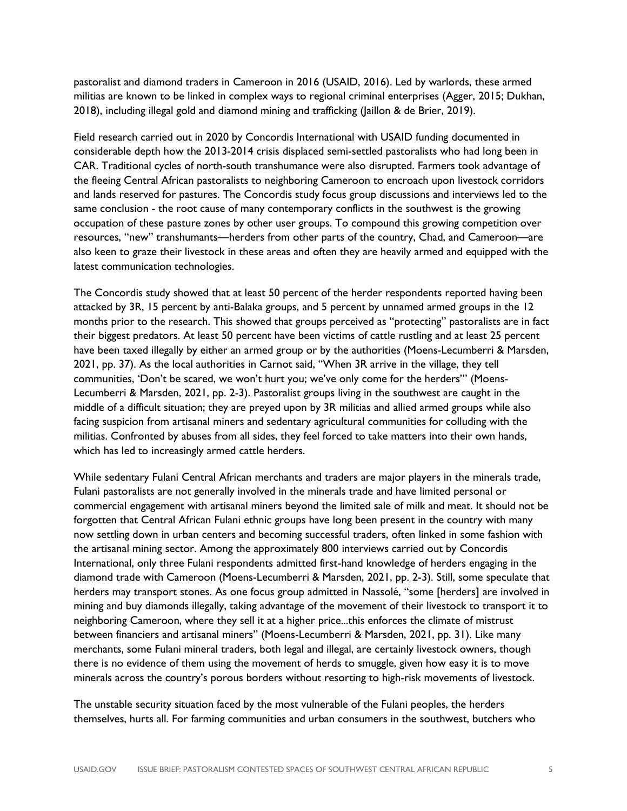pastoralist and diamond traders in Cameroon in 2016 (USAID, 2016). Led by warlords, these armed militias are known to be linked in complex ways to regional criminal enterprises (Agger, 2015; Dukhan, 2018), including illegal gold and diamond mining and trafficking (Jaillon & de Brier, 2019).

Field research carried out in 2020 by Concordis International with USAID funding documented in considerable depth how the 2013-2014 crisis displaced semi-settled pastoralists who had long been in CAR. Traditional cycles of north-south transhumance were also disrupted. Farmers took advantage of the fleeing Central African pastoralists to neighboring Cameroon to encroach upon livestock corridors and lands reserved for pastures. The Concordis study focus group discussions and interviews led to the same conclusion - the root cause of many contemporary conflicts in the southwest is the growing occupation of these pasture zones by other user groups. To compound this growing competition over resources, "new" transhumants—herders from other parts of the country, Chad, and Cameroon—are also keen to graze their livestock in these areas and often they are heavily armed and equipped with the latest communication technologies.

The Concordis study showed that at least 50 percent of the herder respondents reported having been attacked by 3R, 15 percent by anti-Balaka groups, and 5 percent by unnamed armed groups in the 12 months prior to the research. This showed that groups perceived as "protecting" pastoralists are in fact their biggest predators. At least 50 percent have been victims of cattle rustling and at least 25 percent have been taxed illegally by either an armed group or by the authorities (Moens-Lecumberri & Marsden, 2021, pp. 37). As the local authorities in Carnot said, "When 3R arrive in the village, they tell communities, 'Don't be scared, we won't hurt you; we've only come for the herders'" (Moens-Lecumberri & Marsden, 2021, pp. 2-3). Pastoralist groups living in the southwest are caught in the middle of a difficult situation; they are preyed upon by 3R militias and allied armed groups while also facing suspicion from artisanal miners and sedentary agricultural communities for colluding with the militias. Confronted by abuses from all sides, they feel forced to take matters into their own hands, which has led to increasingly armed cattle herders.

While sedentary Fulani Central African merchants and traders are major players in the minerals trade, Fulani pastoralists are not generally involved in the minerals trade and have limited personal or commercial engagement with artisanal miners beyond the limited sale of milk and meat. It should not be forgotten that Central African Fulani ethnic groups have long been present in the country with many now settling down in urban centers and becoming successful traders, often linked in some fashion with the artisanal mining sector. Among the approximately 800 interviews carried out by Concordis International, only three Fulani respondents admitted first-hand knowledge of herders engaging in the diamond trade with Cameroon (Moens-Lecumberri & Marsden, 2021, pp. 2-3). Still, some speculate that herders may transport stones. As one focus group admitted in Nassolé, "some [herders] are involved in mining and buy diamonds illegally, taking advantage of the movement of their livestock to transport it to neighboring Cameroon, where they sell it at a higher price...this enforces the climate of mistrust between financiers and artisanal miners" (Moens-Lecumberri & Marsden, 2021, pp. 31). Like many merchants, some Fulani mineral traders, both legal and illegal, are certainly livestock owners, though there is no evidence of them using the movement of herds to smuggle, given how easy it is to move minerals across the country's porous borders without resorting to high-risk movements of livestock.

The unstable security situation faced by the most vulnerable of the Fulani peoples, the herders themselves, hurts all. For farming communities and urban consumers in the southwest, butchers who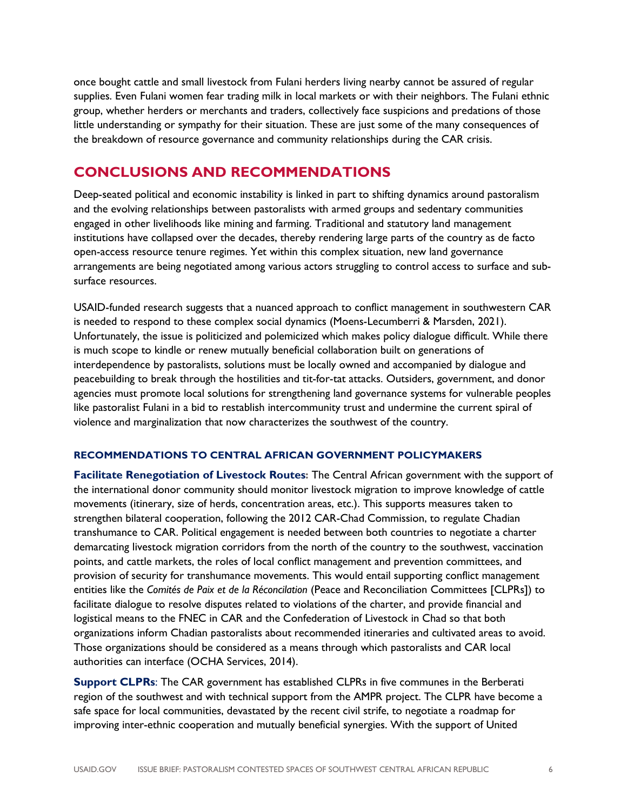once bought cattle and small livestock from Fulani herders living nearby cannot be assured of regular supplies. Even Fulani women fear trading milk in local markets or with their neighbors. The Fulani ethnic group, whether herders or merchants and traders, collectively face suspicions and predations of those little understanding or sympathy for their situation. These are just some of the many consequences of the breakdown of resource governance and community relationships during the CAR crisis.

# **CONCLUSIONS AND RECOMMENDATIONS**

Deep-seated political and economic instability is linked in part to shifting dynamics around pastoralism and the evolving relationships between pastoralists with armed groups and sedentary communities engaged in other livelihoods like mining and farming. Traditional and statutory land management institutions have collapsed over the decades, thereby rendering large parts of the country as de facto open-access resource tenure regimes. Yet within this complex situation, new land governance arrangements are being negotiated among various actors struggling to control access to surface and subsurface resources.

USAID-funded research suggests that a nuanced approach to conflict management in southwestern CAR is needed to respond to these complex social dynamics (Moens-Lecumberri & Marsden, 2021). Unfortunately, the issue is politicized and polemicized which makes policy dialogue difficult. While there is much scope to kindle or renew mutually beneficial collaboration built on generations of interdependence by pastoralists, solutions must be locally owned and accompanied by dialogue and peacebuilding to break through the hostilities and tit-for-tat attacks. Outsiders, government, and donor agencies must promote local solutions for strengthening land governance systems for vulnerable peoples like pastoralist Fulani in a bid to restablish intercommunity trust and undermine the current spiral of violence and marginalization that now characterizes the southwest of the country.

#### **RECOMMENDATIONS TO CENTRAL AFRICAN GOVERNMENT POLICYMAKERS**

**Facilitate Renegotiation of Livestock Routes:** The Central African government with the support of the international donor community should monitor livestock migration to improve knowledge of cattle movements (itinerary, size of herds, concentration areas, etc.). This supports measures taken to strengthen bilateral cooperation, following the 2012 CAR-Chad Commission, to regulate Chadian transhumance to CAR. Political engagement is needed between both countries to negotiate a charter demarcating livestock migration corridors from the north of the country to the southwest, vaccination points, and cattle markets, the roles of local conflict management and prevention committees, and provision of security for transhumance movements. This would entail supporting conflict management entities like the *Comités de Paix et de la Réconcilation* (Peace and Reconciliation Committees [CLPRs]) to facilitate dialogue to resolve disputes related to violations of the charter, and provide financial and logistical means to the FNEC in CAR and the Confederation of Livestock in Chad so that both organizations inform Chadian pastoralists about recommended itineraries and cultivated areas to avoid. Those organizations should be considered as a means through which pastoralists and CAR local authorities can interface (OCHA Services, 2014).

**Support CLPRs**: The CAR government has established CLPRs in five communes in the Berberati region of the southwest and with technical support from the AMPR project. The CLPR have become a safe space for local communities, devastated by the recent civil strife, to negotiate a roadmap for improving inter-ethnic cooperation and mutually beneficial synergies. With the support of United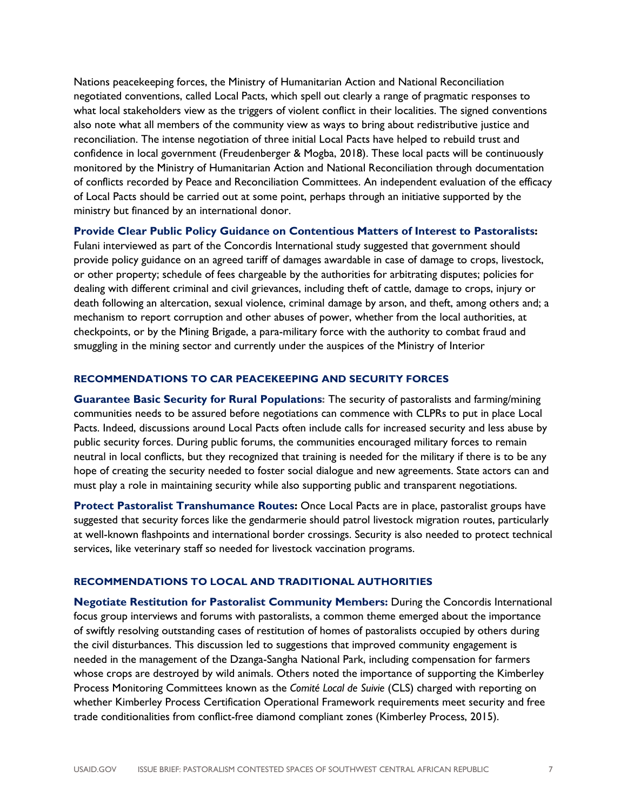Nations peacekeeping forces, the Ministry of Humanitarian Action and National Reconciliation negotiated conventions, called Local Pacts, which spell out clearly a range of pragmatic responses to what local stakeholders view as the triggers of violent conflict in their localities. The signed conventions also note what all members of the community view as ways to bring about redistributive justice and reconciliation. The intense negotiation of three initial Local Pacts have helped to rebuild trust and confidence in local government (Freudenberger & Mogba, 2018). These local pacts will be continuously monitored by the Ministry of Humanitarian Action and National Reconciliation through documentation of conflicts recorded by Peace and Reconciliation Committees. An independent evaluation of the efficacy of Local Pacts should be carried out at some point, perhaps through an initiative supported by the ministry but financed by an international donor.

**Provide Clear Public Policy Guidance on Contentious Matters of Interest to Pastoralists:** 

Fulani interviewed as part of the Concordis International study suggested that government should provide policy guidance on an agreed tariff of damages awardable in case of damage to crops, livestock, or other property; schedule of fees chargeable by the authorities for arbitrating disputes; policies for dealing with different criminal and civil grievances, including theft of cattle, damage to crops, injury or death following an altercation, sexual violence, criminal damage by arson, and theft, among others and; a mechanism to report corruption and other abuses of power, whether from the local authorities, at checkpoints, or by the Mining Brigade, a para-military force with the authority to combat fraud and smuggling in the mining sector and currently under the auspices of the Ministry of Interior

#### **RECOMMENDATIONS TO CAR PEACEKEEPING AND SECURITY FORCES**

**Guarantee Basic Security for Rural Populations:** The security of pastoralists and farming/mining communities needs to be assured before negotiations can commence with CLPRs to put in place Local Pacts. Indeed, discussions around Local Pacts often include calls for increased security and less abuse by public security forces. During public forums, the communities encouraged military forces to remain neutral in local conflicts, but they recognized that training is needed for the military if there is to be any hope of creating the security needed to foster social dialogue and new agreements. State actors can and must play a role in maintaining security while also supporting public and transparent negotiations.

**Protect Pastoralist Transhumance Routes:** Once Local Pacts are in place, pastoralist groups have suggested that security forces like the gendarmerie should patrol livestock migration routes, particularly at well-known flashpoints and international border crossings. Security is also needed to protect technical services, like veterinary staff so needed for livestock vaccination programs.

#### **RECOMMENDATIONS TO LOCAL AND TRADITIONAL AUTHORITIES**

**Negotiate Restitution for Pastoralist Community Members:** During the Concordis International focus group interviews and forums with pastoralists, a common theme emerged about the importance of swiftly resolving outstanding cases of restitution of homes of pastoralists occupied by others during the civil disturbances. This discussion led to suggestions that improved community engagement is needed in the management of the Dzanga-Sangha National Park, including compensation for farmers whose crops are destroyed by wild animals. Others noted the importance of supporting the Kimberley Process Monitoring Committees known as the *Comité Local de Suivie* (CLS) charged with reporting on whether Kimberley Process Certification Operational Framework requirements meet security and free trade conditionalities from conflict-free diamond compliant zones (Kimberley Process, 2015).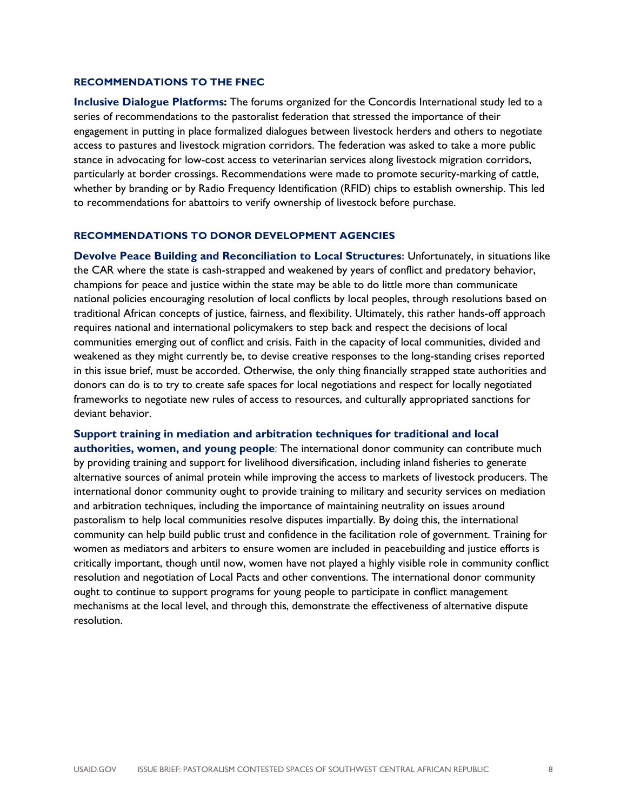#### **RECOMMENDATIONS TO THE FNEC**

**Inclusive Dialogue Platforms:** The forums organized for the Concordis International study led to a series of recommendations to the pastoralist federation that stressed the importance of their engagement in putting in place formalized dialogues between livestock herders and others to negotiate access to pastures and livestock migration corridors. The federation was asked to take a more public stance in advocating for low-cost access to veterinarian services along livestock migration corridors, particularly at border crossings. Recommendations were made to promote security-marking of cattle, whether by branding or by Radio Frequency Identification (RFID) chips to establish ownership. This led to recommendations for abattoirs to verify ownership of livestock before purchase.

#### **RECOMMENDATIONS TO DONOR DEVELOPMENT AGENCIES**

**Devolve Peace Building and Reconciliation to Local Structures:** Unfortunately, in situations like the CAR where the state is cash-strapped and weakened by years of conflict and predatory behavior, champions for peace and justice within the state may be able to do little more than communicate national policies encouraging resolution of local conflicts by local peoples, through resolutions based on traditional African concepts of justice, fairness, and flexibility. Ultimately, this rather hands-off approach requires national and international policymakers to step back and respect the decisions of local communities emerging out of conflict and crisis. Faith in the capacity of local communities, divided and weakened as they might currently be, to devise creative responses to the long-standing crises reported in this issue brief, must be accorded. Otherwise, the only thing financially strapped state authorities and donors can do is to try to create safe spaces for local negotiations and respect for locally negotiated frameworks to negotiate new rules of access to resources, and culturally appropriated sanctions for deviant behavior.

**Support training in mediation and arbitration techniques for traditional and local authorities, women, and young people**: The international donor community can contribute much by providing training and support for livelihood diversification, including inland fisheries to generate

alternative sources of animal protein while improving the access to markets of livestock producers. The international donor community ought to provide training to military and security services on mediation and arbitration techniques, including the importance of maintaining neutrality on issues around pastoralism to help local communities resolve disputes impartially. By doing this, the international community can help build public trust and confidence in the facilitation role of government. Training for women as mediators and arbiters to ensure women are included in peacebuilding and justice efforts is critically important, though until now, women have not played a highly visible role in community conflict resolution and negotiation of Local Pacts and other conventions. The international donor community ought to continue to support programs for young people to participate in conflict management mechanisms at the local level, and through this, demonstrate the effectiveness of alternative dispute resolution.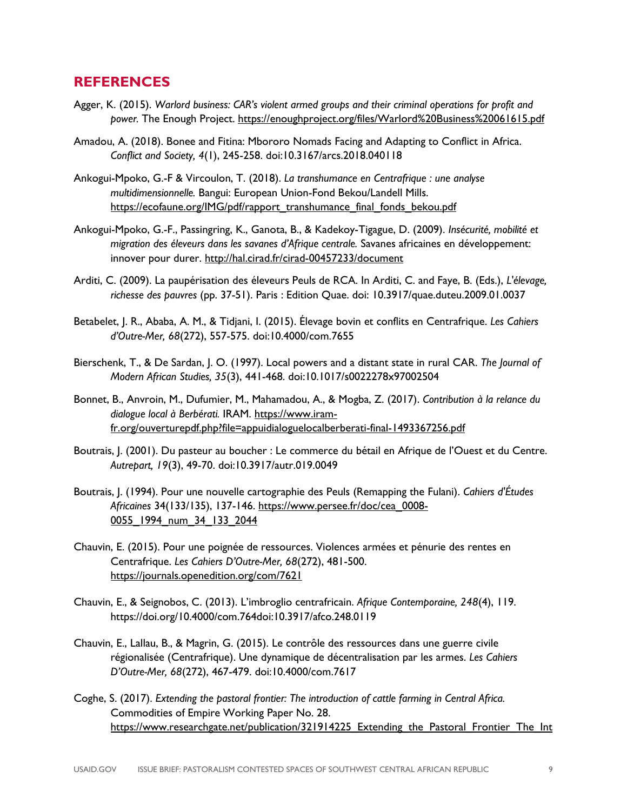### **REFERENCES**

- Agger, K. (2015). *Warlord business: CAR's violent armed groups and their criminal operations for profit and power.* The Enough Project.<https://enoughproject.org/files/Warlord%20Business%20061615.pdf>
- Amadou, A. (2018). Bonee and Fitina: Mbororo Nomads Facing and Adapting to Conflict in Africa. *Conflict and Society, 4*(1), 245-258. doi:10.3167/arcs.2018.040118
- Ankogui-Mpoko, G.-F & Vircoulon, T. (2018). *La transhumance en Centrafrique : une analyse multidimensionnelle.* Bangui: European Union-Fond Bekou/Landell Mills. https://ecofaune.org/IMG/pdf/rapport\_transhumance\_final\_fonds\_bekou.pdf
- Ankogui-Mpoko, G.-F., Passingring, K., Ganota, B., & Kadekoy-Tigague, D. (2009). *Insécurité, mobilité et migration des éleveurs dans les savanes d'Afrique centrale.* Savanes africaines en développement: innover pour durer. http://hal.cirad.fr/cirad-00457233/document
- Arditi, C. (2009). La paupérisation des éleveurs Peuls de RCA. In Arditi, C. and Faye, B. (Eds.), *L'élevage, richesse des pauvres* (pp. 37-51). Paris : Edition Quae. doi: 10.3917/quae.duteu.2009.01.0037
- Betabelet, J. R., Ababa, A. M., & Tidjani, I. (2015). Élevage bovin et conflits en Centrafrique. *Les Cahiers d'Outre-Mer, 68*(272), 557-575. doi:10.4000/com.7655
- Bierschenk, T., & De Sardan, J. O. (1997). Local powers and a distant state in rural CAR. *The Journal of Modern African Studies, 35*(3), 441-468. doi:10.1017/s0022278x97002504
- Bonnet, B., Anvroin, M., Dufumier, M., Mahamadou, A., & Mogba, Z. (2017). *Contribution à la relance du dialogue local à Berbérati.* IRAM. [https://www.iram](https://www.iram-fr.org/ouverturepdf.php?file=appuidialoguelocalberberati-final-1493367256.pdf)[fr.org/ouverturepdf.php?file=appuidialoguelocalberberati-final-1493367256.pdf](https://www.iram-fr.org/ouverturepdf.php?file=appuidialoguelocalberberati-final-1493367256.pdf)
- Boutrais, J. (2001). Du pasteur au boucher : Le commerce du bétail en Afrique de l'Ouest et du Centre. *Autrepart, 19*(3), 49-70. doi:10.3917/autr.019.0049
- Boutrais, J. (1994). Pour une nouvelle cartographie des Peuls (Remapping the Fulani). *Cahiers d'Études Africaines* 34(133/135), 137-146. [https://www.persee.fr/doc/cea\\_0008-](https://www.persee.fr/doc/cea_0008-%090055_1994_num_34_133_2044) 0055 1994 num 34 133 2044
- Chauvin, E. (2015). Pour une poignée de ressources. Violences armées et pénurie des rentes en Centrafrique. *Les Cahiers D'Outre-Mer, 68*(272), 481-500. <https://journals.openedition.org/com/7621>
- Chauvin, E., & Seignobos, C. (2013). L'imbroglio centrafricain. *Afrique Contemporaine, 248*(4), 119. https://doi.org/10.4000/com.764doi:10.3917/afco.248.0119
- Chauvin, E., Lallau, B., & Magrin, G. (2015). Le contrôle des ressources dans une guerre civile régionalisée (Centrafrique). Une dynamique de décentralisation par les armes. *Les Cahiers D'Outre-Mer, 68*(272), 467-479. doi:10.4000/com.7617
- Coghe, S. (2017). *Extending the pastoral frontier: The introduction of cattle farming in Central Africa.*  Commodities of Empire Working Paper No. 28. https://www.researchgate.net/publication/321914225 Extending the Pastoral Frontier The Int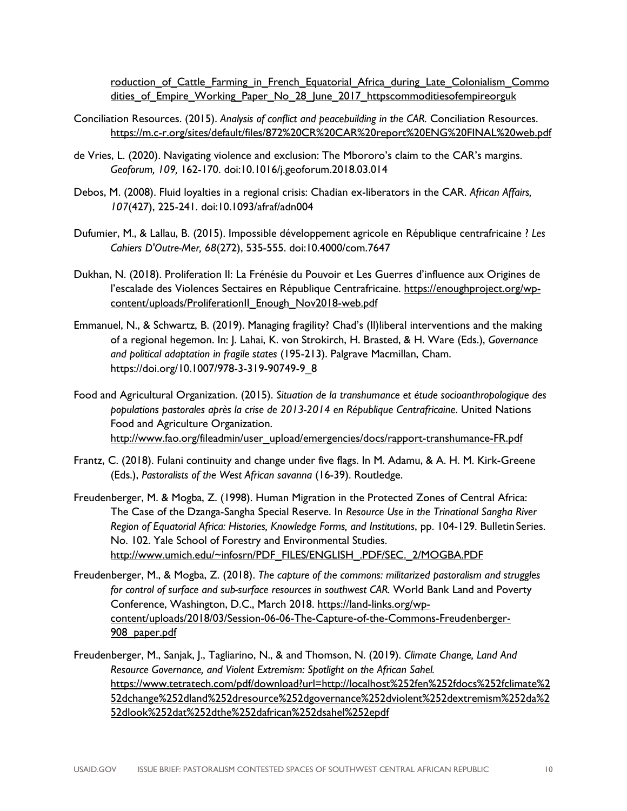roduction of Cattle Farming in French Equatorial Africa during Late Colonialism Commo dities of Empire Working Paper No 28 June 2017 httpscommoditiesofempireorguk

- Conciliation Resources. (2015). *Analysis of conflict and peacebuilding in the CAR.* Conciliation Resources. <https://m.c-r.org/sites/default/files/872%20CR%20CAR%20report%20ENG%20FINAL%20web.pdf>
- de Vries, L. (2020). Navigating violence and exclusion: The Mbororo's claim to the CAR's margins. *Geoforum, 109,* 162-170. doi:10.1016/j.geoforum.2018.03.014
- Debos, M. (2008). Fluid loyalties in a regional crisis: Chadian ex-liberators in the CAR. *African Affairs, 107*(427), 225-241. doi:10.1093/afraf/adn004
- Dufumier, M., & Lallau, B. (2015). Impossible développement agricole en République centrafricaine ? *Les Cahiers D'Outre-Mer, 68*(272), 535-555. doi:10.4000/com.7647
- Dukhan, N. (2018). Proliferation II: La Frénésie du Pouvoir et Les Guerres d'influence aux Origines de l'escalade des Violences Sectaires en République Centrafricaine. [https://enoughproject.org/wp](https://enoughproject.org/wp-content/uploads/ProliferationII_Enough_Nov2018-web.pdf)content/uploads/ProliferationII\_Enough\_Nov2018-web.pdf
- Emmanuel, N., & Schwartz, B. (2019). Managing fragility? Chad's (Il)liberal interventions and the making of a regional hegemon. In: J. Lahai, K. von Strokirch, H. Brasted, & H. Ware (Eds.), *Governance and political adaptation in fragile states* (195-213). Palgrave Macmillan, Cham. https://doi.org/10.1007/978-3-319-90749-9\_8
- Food and Agricultural Organization. (2015). *Situation de la transhumance et étude socioanthropologique des populations pastorales après la crise de 2013-2014 en République Centrafricaine*. United Nations Food and Agriculture Organization. [http://www.fao.org/fileadmin/user\\_upload/emergencies/docs/rapport-transhumance-FR.pdf](http://www.fao.org/fileadmin/user_upload/emergencies/docs/rapport-transhumance-FR.pdf)
- Frantz, C. (2018). Fulani continuity and change under five flags. In M. Adamu, & A. H. M. Kirk-Greene (Eds.), *Pastoralists of the West African savanna* (16-39). Routledge.
- Freudenberger, M. & Mogba, Z. (1998). Human Migration in the Protected Zones of Central Africa: The Case of the Dzanga-Sangha Special Reserve. In *Resource Use in the Trinational Sangha River Region of Equatorial Africa: Histories, Knowledge Forms, and Institutions*, pp. 104-129. Bulletin Series. No. 102. Yale School of Forestry and Environmental Studies. http://www.umich.edu/~infosrn/PDF\_FILES/ENGLISH\_.PDF/SEC.\_2/MOGBA.PDF
- Freudenberger, M., & Mogba, Z. (2018). *The capture of the commons: militarized pastoralism and struggles for control of surface and sub-surface resources in southwest CAR.* World Bank Land and Poverty Conference, Washington, D.C., March 2018. [https://land-links.org/wp](https://land-links.org/wp-content/uploads/2018/03/Session-06-06-The-Capture-of-the-Commons-Freudenberger-908_paper.pdf)[content/uploads/2018/03/Session-06-06-The-Capture-of-the-Commons-Freudenberger-](https://land-links.org/wp-content/uploads/2018/03/Session-06-06-The-Capture-of-the-Commons-Freudenberger-908_paper.pdf)[908\\_paper.pdf](https://land-links.org/wp-content/uploads/2018/03/Session-06-06-The-Capture-of-the-Commons-Freudenberger-908_paper.pdf)
- Freudenberger, M., Sanjak, J., Tagliarino, N., & and Thomson, N. (2019). *Climate Change, Land And Resource Governance, and Violent Extremism: Spotlight on the African Sahel.*  [https://www.tetratech.com/pdf/download?url=http://localhost%252fen%252fdocs%252fclimate%2](https://www.tetratech.com/pdf/download?url=http://localhost%252fen%252fdocs%252fclimate%252dchange%252dland%252dresource%252dgovernance%252dviolent%252dextremism%252da%252dlook%252dat%252dthe%252dafrican%252dsahel%252epdf) [52dchange%252dland%252dresource%252dgovernance%252dviolent%252dextremism%252da%2](https://www.tetratech.com/pdf/download?url=http://localhost%252fen%252fdocs%252fclimate%252dchange%252dland%252dresource%252dgovernance%252dviolent%252dextremism%252da%252dlook%252dat%252dthe%252dafrican%252dsahel%252epdf) [52dlook%252dat%252dthe%252dafrican%252dsahel%252epdf](https://www.tetratech.com/pdf/download?url=http://localhost%252fen%252fdocs%252fclimate%252dchange%252dland%252dresource%252dgovernance%252dviolent%252dextremism%252da%252dlook%252dat%252dthe%252dafrican%252dsahel%252epdf)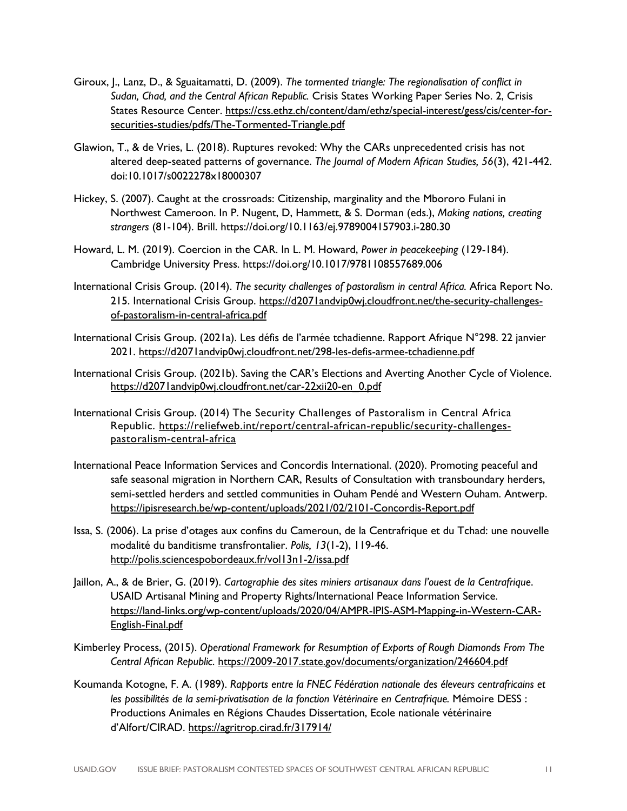- Giroux, J., Lanz, D., & Sguaitamatti, D. (2009). *The tormented triangle: The regionalisation of conflict in Sudan, Chad, and the Central African Republic.* Crisis States Working Paper Series No. 2, Crisis States Resource Center. [https://css.ethz.ch/content/dam/ethz/special-interest/gess/cis/center-for](https://css.ethz.ch/content/dam/ethz/special-interest/gess/cis/center-for-securities-studies/pdfs/The-Tormented-Triangle.pdf)[securities-studies/pdfs/The-Tormented-Triangle.pdf](https://css.ethz.ch/content/dam/ethz/special-interest/gess/cis/center-for-securities-studies/pdfs/The-Tormented-Triangle.pdf)
- Glawion, T., & de Vries, L. (2018). Ruptures revoked: Why the CARs unprecedented crisis has not altered deep-seated patterns of governance. *The Journal of Modern African Studies, 56*(3), 421-442. doi:10.1017/s0022278x18000307
- Hickey, S. (2007). Caught at the crossroads: Citizenship, marginality and the Mbororo Fulani in Northwest Cameroon. In P. Nugent, D, Hammett, & S. Dorman (eds.), *Making nations, creating strangers* (81-104). Brill. https://doi.org/10.1163/ej.9789004157903.i-280.30
- Howard, L. M. (2019). Coercion in the CAR. In L. M. Howard, *Power in peacekeeping* (129-184). Cambridge University Press. https://doi.org/10.1017/9781108557689.006
- International Crisis Group. (2014). *The security challenges of pastoralism in central Africa.* Africa Report No. 215. International Crisis Group. [https://d2071andvip0wj.cloudfront.net/the-security-challenges](https://d2071andvip0wj.cloudfront.net/the-security-challenges-of-pastoralism-in-central-africa.pdf)[of-pastoralism-in-central-africa.pdf](https://d2071andvip0wj.cloudfront.net/the-security-challenges-of-pastoralism-in-central-africa.pdf)
- International Crisis Group. (2021a). Les défis de l'armée tchadienne. Rapport Afrique N°298. 22 janvier 2021.<https://d2071andvip0wj.cloudfront.net/298-les-defis-armee-tchadienne.pdf>
- International Crisis Group. (2021b). Saving the CAR's Elections and Averting Another Cycle of Violence. https://d2071andvip0wj.cloudfront.net/car-22xii20-en\_0.pdf
- International Crisis Group. (2014) The Security Challenges of Pastoralism in Central Africa Republic. [https://reliefweb.int/report/central-african-republic/security-challenges](https://reliefweb.int/report/central-african-republic/security-challenges-pastoralism-central-africa)[pastoralism-central-africa](https://reliefweb.int/report/central-african-republic/security-challenges-pastoralism-central-africa)
- International Peace Information Services and Concordis International. (2020). Promoting peaceful and safe seasonal migration in Northern CAR, Results of Consultation with transboundary herders, semi-settled herders and settled communities in Ouham Pendé and Western Ouham. Antwerp. <https://ipisresearch.be/wp-content/uploads/2021/02/2101-Concordis-Report.pdf>
- Issa, S. (2006). La prise d'otages aux confins du Cameroun, de la Centrafrique et du Tchad: une nouvelle modalité du banditisme transfrontalier. *Polis, 13*(1-2), 119-46. <http://polis.sciencespobordeaux.fr/vol13n1-2/issa.pdf>
- Jaillon, A., & de Brier, G. (2019). *Cartographie des sites miniers artisanaux dans l'ouest de la Centrafrique*. USAID Artisanal Mining and Property Rights/International Peace Information Service. [https://land-links.org/wp-content/uploads/2020/04/AMPR-IPIS-ASM-Mapping-in-Western-CAR-](https://land-links.org/wp-content/uploads/2020/04/AMPR-IPIS-ASM-Mapping-in-Western-CAR-English-Final.pdf)[English-Final.pdf](https://land-links.org/wp-content/uploads/2020/04/AMPR-IPIS-ASM-Mapping-in-Western-CAR-English-Final.pdf)
- Kimberley Process, (2015). *Operational Framework for Resumption of Exports of Rough Diamonds From The Central African Republic*.<https://2009-2017.state.gov/documents/organization/246604.pdf>
- Koumanda Kotogne, F. A. (1989). *Rapports entre la FNEC Fédération nationale des éleveurs centrafricains et les possibilités de la semi-privatisation de la fonction Vétérinaire en Centrafrique.* Mémoire DESS : Productions Animales en Régions Chaudes Dissertation, Ecole nationale vétérinaire d'Alfort/CIRAD.<https://agritrop.cirad.fr/317914/>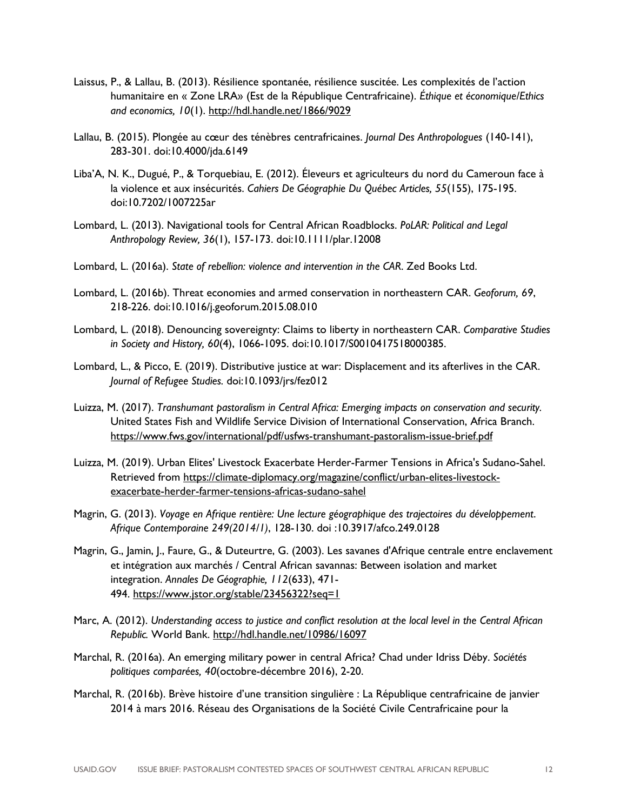- Laissus, P., & Lallau, B. (2013). Résilience spontanée, résilience suscitée. Les complexités de l'action humanitaire en « Zone LRA» (Est de la République Centrafricaine). *Éthique et économique/Ethics and economics, 10*(1).<http://hdl.handle.net/1866/9029>
- Lallau, B. (2015). Plongée au cœur des ténèbres centrafricaines. *Journal Des Anthropologues* (140-141), 283-301. doi:10.4000/jda.6149
- Liba'A, N. K., Dugué, P., & Torquebiau, E. (2012). Éleveurs et agriculteurs du nord du Cameroun face à la violence et aux insécurités. *Cahiers De Géographie Du Québec Articles, 55*(155), 175-195. doi:10.7202/1007225ar
- Lombard, L. (2013). Navigational tools for Central African Roadblocks. *PoLAR: Political and Legal Anthropology Review, 36*(1), 157-173. doi:10.1111/plar.12008
- Lombard, L. (2016a). *State of rebellion: violence and intervention in the CAR*. Zed Books Ltd.
- Lombard, L. (2016b). Threat economies and armed conservation in northeastern CAR. *Geoforum, 69*, 218-226. doi:10.1016/j.geoforum.2015.08.010
- Lombard, L. (2018). Denouncing sovereignty: Claims to liberty in northeastern CAR. *Comparative Studies in Society and History, 60*(4), 1066-1095. doi:10.1017/S0010417518000385.
- Lombard, L., & Picco, E. (2019). Distributive justice at war: Displacement and its afterlives in the CAR. *Journal of Refugee Studies.* doi:10.1093/jrs/fez012
- Luizza, M. (2017). *Transhumant pastoralism in Central Africa: Emerging impacts on conservation and security.*  United States Fish and Wildlife Service Division of International Conservation, Africa Branch. <https://www.fws.gov/international/pdf/usfws-transhumant-pastoralism-issue-brief.pdf>
- Luizza, M. (2019). Urban Elites' Livestock Exacerbate Herder-Farmer Tensions in Africa's Sudano-Sahel. Retrieved from [https://climate-diplomacy.org/magazine/conflict/urban-elites-livestock](https://climate-diplomacy.org/magazine/conflict/urban-elites-livestock-exacerbate-herder-farmer-tensions-africas-sudano-sahel)[exacerbate-herder-farmer-tensions-africas-sudano-sahel](https://climate-diplomacy.org/magazine/conflict/urban-elites-livestock-exacerbate-herder-farmer-tensions-africas-sudano-sahel)
- Magrin, G. (2013). *Voyage en Afrique rentière: Une lecture géographique des trajectoires du développement*. *Afrique Contemporaine 249(2014/1)*, 128-130. doi :10.3917/afco.249.0128
- Magrin, G., Jamin, J., Faure, G., & Duteurtre, G. (2003). Les savanes d'Afrique centrale entre enclavement et intégration aux marchés / Central African savannas: Between isolation and market integration. *Annales De Géographie, 112*(633), 471- 494.<https://www.jstor.org/stable/23456322?seq=1>
- Marc, A. (2012). *Understanding access to justice and conflict resolution at the local level in the Central African Republic.* World Bank.<http://hdl.handle.net/10986/16097>
- Marchal, R. (2016a). An emerging military power in central Africa? Chad under Idriss Déby. *Sociétés politiques comparées, 40*(octobre-décembre 2016), 2-20.
- Marchal, R. (2016b). Brève histoire d'une transition singulière : La République centrafricaine de janvier 2014 à mars 2016. Réseau des Organisations de la Société Civile Centrafricaine pour la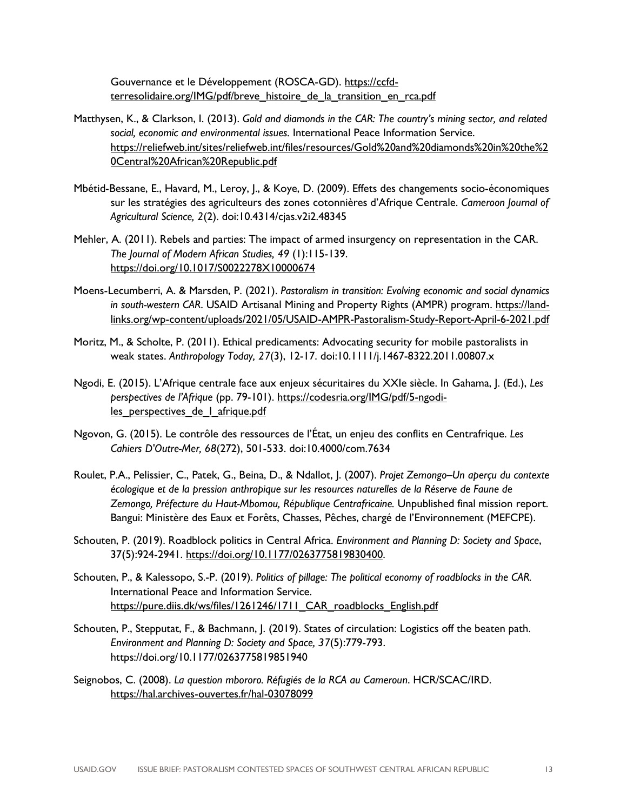Gouvernance et le Développement (ROSCA-GD). [https://ccfd](https://ccfd-terresolidaire.org/IMG/pdf/breve_histoire_de_la_transition_en_rca.pdf)terresolidaire.org/IMG/pdf/breve\_histoire\_de\_la\_transition\_en\_rca.pdf

- Matthysen, K., & Clarkson, I. (2013). *Gold and diamonds in the CAR: The country's mining sector, and related social, economic and environmental issues.* International Peace Information Service. [https://reliefweb.int/sites/reliefweb.int/files/resources/Gold%20and%20diamonds%20in%20the%2](https://reliefweb.int/sites/reliefweb.int/files/resources/Gold%20and%20diamonds%20in%20the%20Central%20African%20Republic.pdf) [0Central%20African%20Republic.pdf](https://reliefweb.int/sites/reliefweb.int/files/resources/Gold%20and%20diamonds%20in%20the%20Central%20African%20Republic.pdf)
- Mbétid-Bessane, E., Havard, M., Leroy, J., & Koye, D. (2009). Effets des changements socio-économiques sur les stratégies des agriculteurs des zones cotonnières d'Afrique Centrale. *Cameroon Journal of Agricultural Science, 2*(2). doi:10.4314/cjas.v2i2.48345
- Mehler, A. (2011). Rebels and parties: The impact of armed insurgency on representation in the CAR. *The Journal of Modern African Studies, 49* (1):115-139. <https://doi.org/10.1017/S0022278X10000674>
- Moens-Lecumberri, A. & Marsden, P. (2021). *Pastoralism in transition: Evolving economic and social dynamics*  in south-western CAR. USAID Artisanal Mining and Property Rights (AMPR) program. [https://land](https://land-links.org/wp-content/uploads/2021/05/USAID-AMPR-Pastoralism-Study-Report-April-6-2021.pdf)[links.org/wp-content/uploads/2021/05/USAID-AMPR-Pastoralism-Study-Report-April-6-2021.pdf](https://land-links.org/wp-content/uploads/2021/05/USAID-AMPR-Pastoralism-Study-Report-April-6-2021.pdf)
- Moritz, M., & Scholte, P. (2011). Ethical predicaments: Advocating security for mobile pastoralists in weak states. *Anthropology Today, 27*(3), 12-17. doi:10.1111/j.1467-8322.2011.00807.x
- Ngodi, E. (2015). L'Afrique centrale face aux enjeux sécuritaires du XXIe siècle. In Gahama, J. (Ed.), *Les perspectives de l'Afrique* (pp. 79-101). [https://codesria.org/IMG/pdf/5-ngodi](https://codesria.org/IMG/pdf/5-ngodi-les_perspectives_de_l_afrique.pdf)les perspectives de l afrique.pdf
- Ngovon, G. (2015). Le contrôle des ressources de l'État, un enjeu des conflits en Centrafrique. *Les Cahiers D'Outre-Mer, 68*(272), 501-533. doi:10.4000/com.7634
- Roulet, P.A., Pelissier, C., Patek, G., Beina, D., & Ndallot, J. (2007). *Projet Zemongo–Un aperçu du contexte écologique et de la pression anthropique sur les resources naturelles de la Réserve de Faune de Zemongo, Préfecture du Haut-Mbomou, République Centrafricaine.* Unpublished final mission report. Bangui: Ministère des Eaux et Forêts, Chasses, Pêches, chargé de l'Environnement (MEFCPE).
- Schouten, P. (2019). Roadblock politics in Central Africa. *Environment and Planning D: Society and Space*, 37(5):924-2941. [https://doi.org/10.1177/0263775819830400.](https://doi.org/10.1177%2F0263775819830400)
- Schouten, P., & Kalessopo, S.-P. (2019). *Politics of pillage: The political economy of roadblocks in the CAR.* International Peace and Information Service. https://pure.diis.dk/ws/files/1261246/1711 CAR\_roadblocks\_English.pdf
- Schouten, P., Stepputat, F., & Bachmann, J. (2019). States of circulation: Logistics off the beaten path. *Environment and Planning D: Society and Space, 37*(5):779-793. https://doi.org/10.1177/0263775819851940
- Seignobos, C. (2008). *La question mbororo. Réfugiés de la RCA au Cameroun*. HCR/SCAC/IRD. <https://hal.archives-ouvertes.fr/hal-03078099>